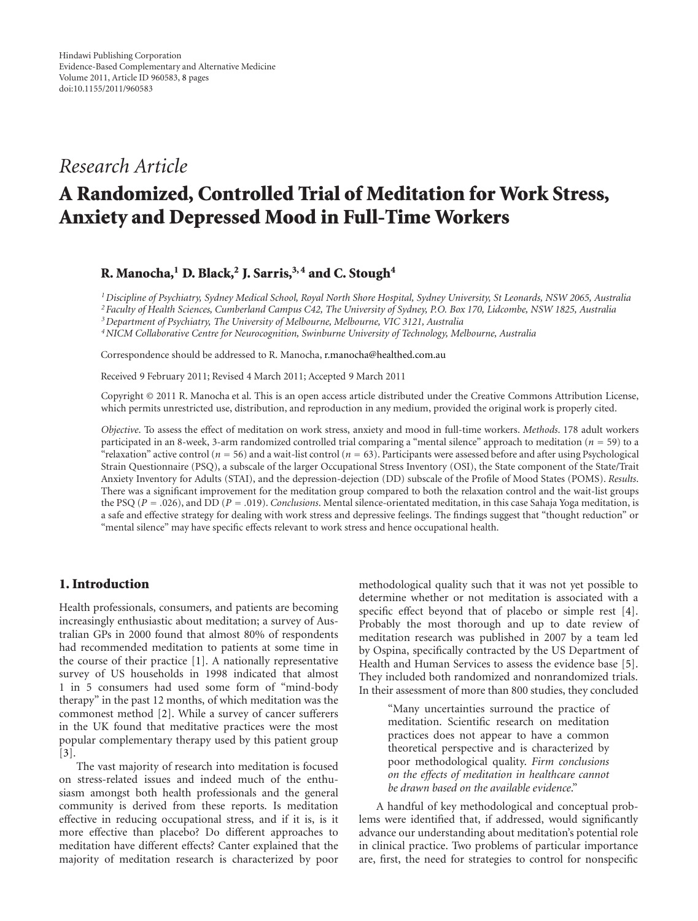## *Research Article*

# A Randomized, Controlled Trial of Meditation for Work Stress, Anxiety and Depressed Mood in Full-Time Workers

### R. Manocha,<sup>1</sup> D. Black,<sup>2</sup> J. Sarris,<sup>3,4</sup> and C. Stough<sup>4</sup>

*1Discipline of Psychiatry, Sydney Medical School, Royal North Shore Hospital, Sydney University, St Leonards, NSW 2065, Australia*

*2Faculty of Health Sciences, Cumberland Campus C42, The University of Sydney, P.O. Box 170, Lidcombe, NSW 1825, Australia*

*3Department of Psychiatry, The University of Melbourne, Melbourne, VIC 3121, Australia*

*4NICM Collaborative Centre for Neurocognition, Swinburne University of Technology, Melbourne, Australia*

Correspondence should be addressed to R. Manocha, r.manocha@healthed.com.au

Received 9 February 2011; Revised 4 March 2011; Accepted 9 March 2011

Copyright © 2011 R. Manocha et al. This is an open access article distributed under the Creative Commons Attribution License, which permits unrestricted use, distribution, and reproduction in any medium, provided the original work is properly cited.

*Objective*. To assess the effect of meditation on work stress, anxiety and mood in full-time workers. *Methods*. 178 adult workers participated in an 8-week, 3-arm randomized controlled trial comparing a "mental silence" approach to meditation (*n =* 59) to a "relaxation" active control ( $n = 56$ ) and a wait-list control ( $n = 63$ ). Participants were assessed before and after using Psychological Strain Questionnaire (PSQ), a subscale of the larger Occupational Stress Inventory (OSI), the State component of the State/Trait Anxiety Inventory for Adults (STAI), and the depression-dejection (DD) subscale of the Profile of Mood States (POMS). *Results*. There was a significant improvement for the meditation group compared to both the relaxation control and the wait-list groups the PSQ (*P = .*026), and DD (*P = .*019). *Conclusions*. Mental silence-orientated meditation, in this case Sahaja Yoga meditation, is a safe and effective strategy for dealing with work stress and depressive feelings. The findings suggest that "thought reduction" or "mental silence" may have specific effects relevant to work stress and hence occupational health.

#### 1. Introduction

Health professionals, consumers, and patients are becoming increasingly enthusiastic about meditation; a survey of Australian GPs in 2000 found that almost 80% of respondents had recommended meditation to patients at some time in the course of their practice [1]. A nationally representative survey of US households in 1998 indicated that almost 1 in 5 consumers had used some form of "mind-body therapy" in the past 12 months, of which meditation was the commonest method [2]. While a survey of cancer sufferers in the UK found that meditative practices were the most popular complementary therapy used by this patient group [3].

The vast majority of research into meditation is focused on stress-related issues and indeed much of the enthusiasm amongst both health professionals and the general community is derived from these reports. Is meditation effective in reducing occupational stress, and if it is, is it more effective than placebo? Do different approaches to meditation have different effects? Canter explained that the majority of meditation research is characterized by poor

methodological quality such that it was not yet possible to determine whether or not meditation is associated with a specific effect beyond that of placebo or simple rest [4]. Probably the most thorough and up to date review of meditation research was published in 2007 by a team led by Ospina, specifically contracted by the US Department of Health and Human Services to assess the evidence base [5]. They included both randomized and nonrandomized trials. In their assessment of more than 800 studies, they concluded

"Many uncertainties surround the practice of meditation. Scientific research on meditation practices does not appear to have a common theoretical perspective and is characterized by poor methodological quality. *Firm conclusions on the effects of meditation in healthcare cannot be drawn based on the available evidence*."

A handful of key methodological and conceptual problems were identified that, if addressed, would significantly advance our understanding about meditation's potential role in clinical practice. Two problems of particular importance are, first, the need for strategies to control for nonspecific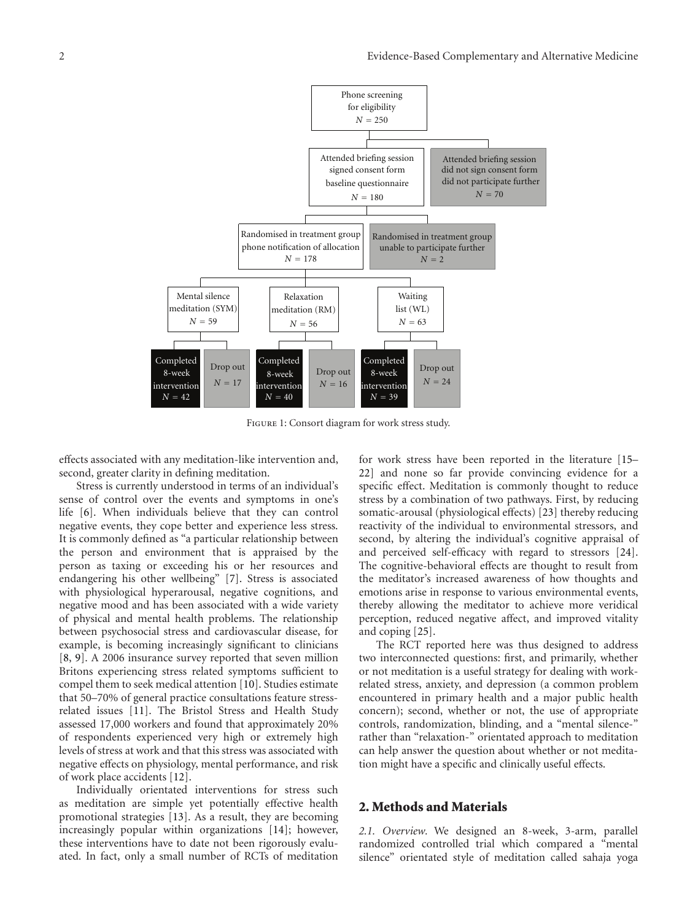

Figure 1: Consort diagram for work stress study.

effects associated with any meditation-like intervention and, second, greater clarity in defining meditation.

Stress is currently understood in terms of an individual's sense of control over the events and symptoms in one's life [6]. When individuals believe that they can control negative events, they cope better and experience less stress. It is commonly defined as "a particular relationship between the person and environment that is appraised by the person as taxing or exceeding his or her resources and endangering his other wellbeing" [7]. Stress is associated with physiological hyperarousal, negative cognitions, and negative mood and has been associated with a wide variety of physical and mental health problems. The relationship between psychosocial stress and cardiovascular disease, for example, is becoming increasingly significant to clinicians [8, 9]. A 2006 insurance survey reported that seven million Britons experiencing stress related symptoms sufficient to compel them to seek medical attention [10]. Studies estimate that 50–70% of general practice consultations feature stressrelated issues [11]. The Bristol Stress and Health Study assessed 17,000 workers and found that approximately 20% of respondents experienced very high or extremely high levels of stress at work and that this stress was associated with negative effects on physiology, mental performance, and risk of work place accidents [12].

Individually orientated interventions for stress such as meditation are simple yet potentially effective health promotional strategies [13]. As a result, they are becoming increasingly popular within organizations [14]; however, these interventions have to date not been rigorously evaluated. In fact, only a small number of RCTs of meditation

for work stress have been reported in the literature [15– 22] and none so far provide convincing evidence for a specific effect. Meditation is commonly thought to reduce stress by a combination of two pathways. First, by reducing somatic-arousal (physiological effects) [23] thereby reducing reactivity of the individual to environmental stressors, and second, by altering the individual's cognitive appraisal of and perceived self-efficacy with regard to stressors [24]. The cognitive-behavioral effects are thought to result from the meditator's increased awareness of how thoughts and emotions arise in response to various environmental events, thereby allowing the meditator to achieve more veridical perception, reduced negative affect, and improved vitality and coping [25].

The RCT reported here was thus designed to address two interconnected questions: first, and primarily, whether or not meditation is a useful strategy for dealing with workrelated stress, anxiety, and depression (a common problem encountered in primary health and a major public health concern); second, whether or not, the use of appropriate controls, randomization, blinding, and a "mental silence-" rather than "relaxation-" orientated approach to meditation can help answer the question about whether or not meditation might have a specific and clinically useful effects.

#### 2. Methods and Materials

*2.1. Overview.* We designed an 8-week, 3-arm, parallel randomized controlled trial which compared a "mental silence" orientated style of meditation called sahaja yoga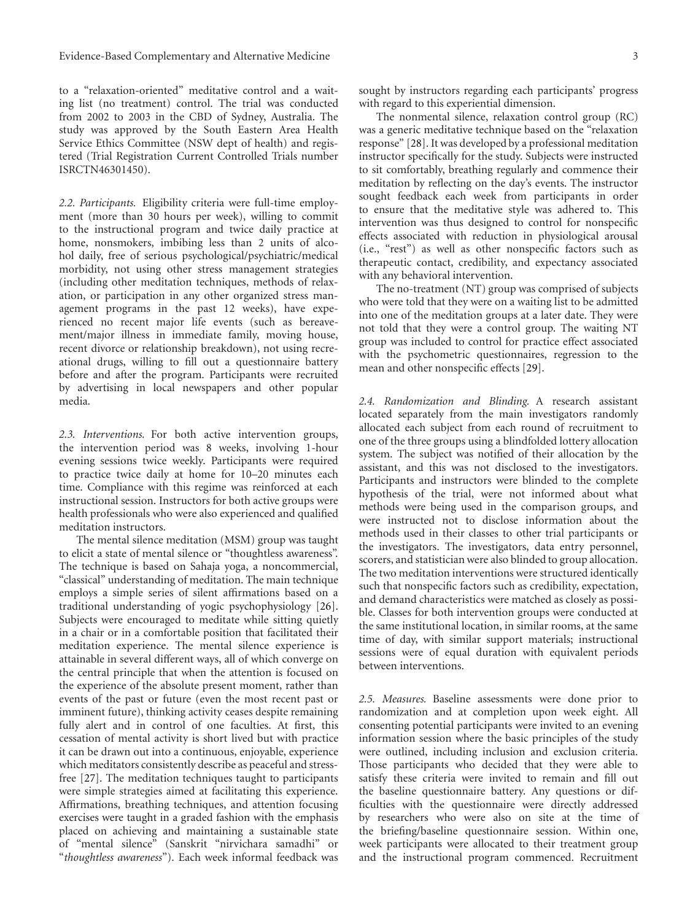to a "relaxation-oriented" meditative control and a waiting list (no treatment) control. The trial was conducted from 2002 to 2003 in the CBD of Sydney, Australia. The study was approved by the South Eastern Area Health Service Ethics Committee (NSW dept of health) and registered (Trial Registration Current Controlled Trials number ISRCTN46301450).

*2.2. Participants.* Eligibility criteria were full-time employment (more than 30 hours per week), willing to commit to the instructional program and twice daily practice at home, nonsmokers, imbibing less than 2 units of alcohol daily, free of serious psychological/psychiatric/medical morbidity, not using other stress management strategies (including other meditation techniques, methods of relaxation, or participation in any other organized stress management programs in the past 12 weeks), have experienced no recent major life events (such as bereavement/major illness in immediate family, moving house, recent divorce or relationship breakdown), not using recreational drugs, willing to fill out a questionnaire battery before and after the program. Participants were recruited by advertising in local newspapers and other popular media.

*2.3. Interventions.* For both active intervention groups, the intervention period was 8 weeks, involving 1-hour evening sessions twice weekly. Participants were required to practice twice daily at home for 10–20 minutes each time. Compliance with this regime was reinforced at each instructional session. Instructors for both active groups were health professionals who were also experienced and qualified meditation instructors.

The mental silence meditation (MSM) group was taught to elicit a state of mental silence or "thoughtless awareness". The technique is based on Sahaja yoga, a noncommercial, "classical" understanding of meditation. The main technique employs a simple series of silent affirmations based on a traditional understanding of yogic psychophysiology [26]. Subjects were encouraged to meditate while sitting quietly in a chair or in a comfortable position that facilitated their meditation experience. The mental silence experience is attainable in several different ways, all of which converge on the central principle that when the attention is focused on the experience of the absolute present moment, rather than events of the past or future (even the most recent past or imminent future), thinking activity ceases despite remaining fully alert and in control of one faculties. At first, this cessation of mental activity is short lived but with practice it can be drawn out into a continuous, enjoyable, experience which meditators consistently describe as peaceful and stressfree [27]. The meditation techniques taught to participants were simple strategies aimed at facilitating this experience. Affirmations, breathing techniques, and attention focusing exercises were taught in a graded fashion with the emphasis placed on achieving and maintaining a sustainable state of "mental silence" (Sanskrit "nirvichara samadhi" or "*thoughtless awareness*"). Each week informal feedback was

sought by instructors regarding each participants' progress with regard to this experiential dimension.

The nonmental silence, relaxation control group (RC) was a generic meditative technique based on the "relaxation response" [28]. It was developed by a professional meditation instructor specifically for the study. Subjects were instructed to sit comfortably, breathing regularly and commence their meditation by reflecting on the day's events. The instructor sought feedback each week from participants in order to ensure that the meditative style was adhered to. This intervention was thus designed to control for nonspecific effects associated with reduction in physiological arousal (i.e., "rest") as well as other nonspecific factors such as therapeutic contact, credibility, and expectancy associated with any behavioral intervention.

The no-treatment (NT) group was comprised of subjects who were told that they were on a waiting list to be admitted into one of the meditation groups at a later date. They were not told that they were a control group. The waiting NT group was included to control for practice effect associated with the psychometric questionnaires, regression to the mean and other nonspecific effects [29].

*2.4. Randomization and Blinding.* A research assistant located separately from the main investigators randomly allocated each subject from each round of recruitment to one of the three groups using a blindfolded lottery allocation system. The subject was notified of their allocation by the assistant, and this was not disclosed to the investigators. Participants and instructors were blinded to the complete hypothesis of the trial, were not informed about what methods were being used in the comparison groups, and were instructed not to disclose information about the methods used in their classes to other trial participants or the investigators. The investigators, data entry personnel, scorers, and statistician were also blinded to group allocation. The two meditation interventions were structured identically such that nonspecific factors such as credibility, expectation, and demand characteristics were matched as closely as possible. Classes for both intervention groups were conducted at the same institutional location, in similar rooms, at the same time of day, with similar support materials; instructional sessions were of equal duration with equivalent periods between interventions.

*2.5. Measures.* Baseline assessments were done prior to randomization and at completion upon week eight. All consenting potential participants were invited to an evening information session where the basic principles of the study were outlined, including inclusion and exclusion criteria. Those participants who decided that they were able to satisfy these criteria were invited to remain and fill out the baseline questionnaire battery. Any questions or difficulties with the questionnaire were directly addressed by researchers who were also on site at the time of the briefing/baseline questionnaire session. Within one, week participants were allocated to their treatment group and the instructional program commenced. Recruitment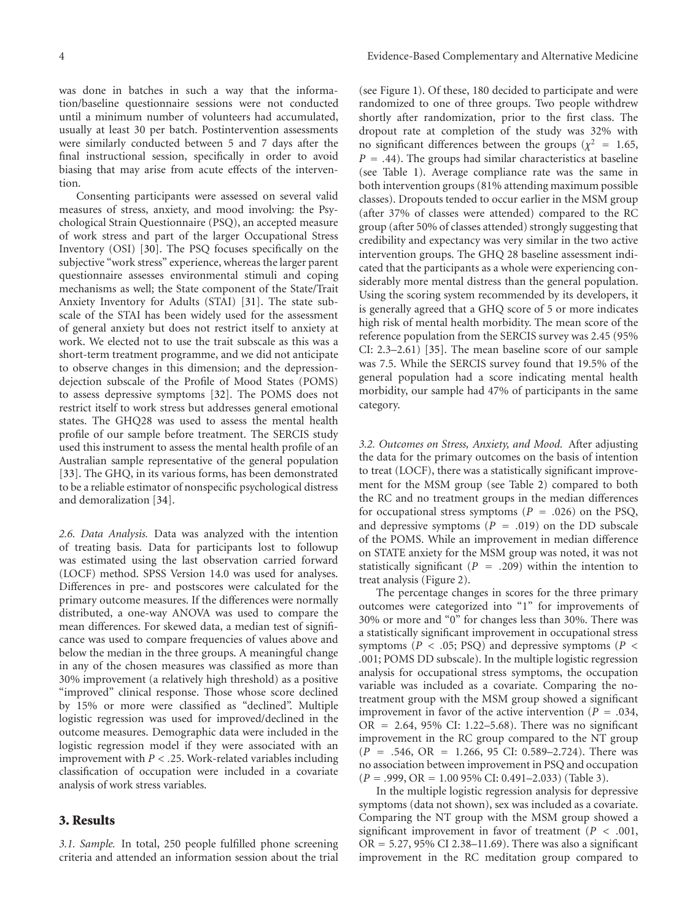was done in batches in such a way that the information/baseline questionnaire sessions were not conducted until a minimum number of volunteers had accumulated, usually at least 30 per batch. Postintervention assessments were similarly conducted between 5 and 7 days after the final instructional session, specifically in order to avoid biasing that may arise from acute effects of the intervention.

Consenting participants were assessed on several valid measures of stress, anxiety, and mood involving: the Psychological Strain Questionnaire (PSQ), an accepted measure of work stress and part of the larger Occupational Stress Inventory (OSI) [30]. The PSQ focuses specifically on the subjective "work stress" experience, whereas the larger parent questionnaire assesses environmental stimuli and coping mechanisms as well; the State component of the State/Trait Anxiety Inventory for Adults (STAI) [31]. The state subscale of the STAI has been widely used for the assessment of general anxiety but does not restrict itself to anxiety at work. We elected not to use the trait subscale as this was a short-term treatment programme, and we did not anticipate to observe changes in this dimension; and the depressiondejection subscale of the Profile of Mood States (POMS) to assess depressive symptoms [32]. The POMS does not restrict itself to work stress but addresses general emotional states. The GHQ28 was used to assess the mental health profile of our sample before treatment. The SERCIS study used this instrument to assess the mental health profile of an Australian sample representative of the general population [33]. The GHQ, in its various forms, has been demonstrated to be a reliable estimator of nonspecific psychological distress and demoralization [34].

*2.6. Data Analysis.* Data was analyzed with the intention of treating basis. Data for participants lost to followup was estimated using the last observation carried forward (LOCF) method. SPSS Version 14.0 was used for analyses. Differences in pre- and postscores were calculated for the primary outcome measures. If the differences were normally distributed, a one-way ANOVA was used to compare the mean differences. For skewed data, a median test of significance was used to compare frequencies of values above and below the median in the three groups. A meaningful change in any of the chosen measures was classified as more than 30% improvement (a relatively high threshold) as a positive "improved" clinical response. Those whose score declined by 15% or more were classified as "declined". Multiple logistic regression was used for improved/declined in the outcome measures. Demographic data were included in the logistic regression model if they were associated with an improvement with *P<.*25. Work-related variables including classification of occupation were included in a covariate analysis of work stress variables.

#### 3. Results

*3.1. Sample.* In total, 250 people fulfilled phone screening criteria and attended an information session about the trial (see Figure 1). Of these, 180 decided to participate and were randomized to one of three groups. Two people withdrew shortly after randomization, prior to the first class. The dropout rate at completion of the study was 32% with no significant differences between the groups ( $\chi^2$  = 1.65,  $P = .44$ ). The groups had similar characteristics at baseline (see Table 1). Average compliance rate was the same in both intervention groups (81% attending maximum possible classes). Dropouts tended to occur earlier in the MSM group (after 37% of classes were attended) compared to the RC group (after 50% of classes attended) strongly suggesting that credibility and expectancy was very similar in the two active intervention groups. The GHQ 28 baseline assessment indicated that the participants as a whole were experiencing considerably more mental distress than the general population. Using the scoring system recommended by its developers, it is generally agreed that a GHQ score of 5 or more indicates high risk of mental health morbidity. The mean score of the reference population from the SERCIS survey was 2.45 (95% CI: 2.3–2.61) [35]. The mean baseline score of our sample was 7.5. While the SERCIS survey found that 19.5% of the general population had a score indicating mental health morbidity, our sample had 47% of participants in the same category.

*3.2. Outcomes on Stress, Anxiety, and Mood.* After adjusting the data for the primary outcomes on the basis of intention to treat (LOCF), there was a statistically significant improvement for the MSM group (see Table 2) compared to both the RC and no treatment groups in the median differences for occupational stress symptoms ( $P = .026$ ) on the PSQ, and depressive symptoms  $(P = .019)$  on the DD subscale of the POMS. While an improvement in median difference on STATE anxiety for the MSM group was noted, it was not statistically significant ( $P = .209$ ) within the intention to treat analysis (Figure 2).

The percentage changes in scores for the three primary outcomes were categorized into "1" for improvements of 30% or more and "0" for changes less than 30%. There was a statistically significant improvement in occupational stress symptoms (*P<.*05; PSQ) and depressive symptoms (*P < .*001; POMS DD subscale). In the multiple logistic regression analysis for occupational stress symptoms, the occupation variable was included as a covariate. Comparing the notreatment group with the MSM group showed a significant improvement in favor of the active intervention ( $P = .034$ , OR *=* 2*.*64, 95% CI: 1.22–5.68). There was no significant improvement in the RC group compared to the NT group (*P = .*546, OR *=* 1*.*266, 95 CI: 0.589–2.724). There was no association between improvement in PSQ and occupation (*P = .*999, OR *=* 1*.*00 95% CI: 0.491–2.033) (Table 3).

In the multiple logistic regression analysis for depressive symptoms (data not shown), sex was included as a covariate. Comparing the NT group with the MSM group showed a significant improvement in favor of treatment ( $P < .001$ , OR *=* 5*.*27, 95% CI 2.38–11.69). There was also a significant improvement in the RC meditation group compared to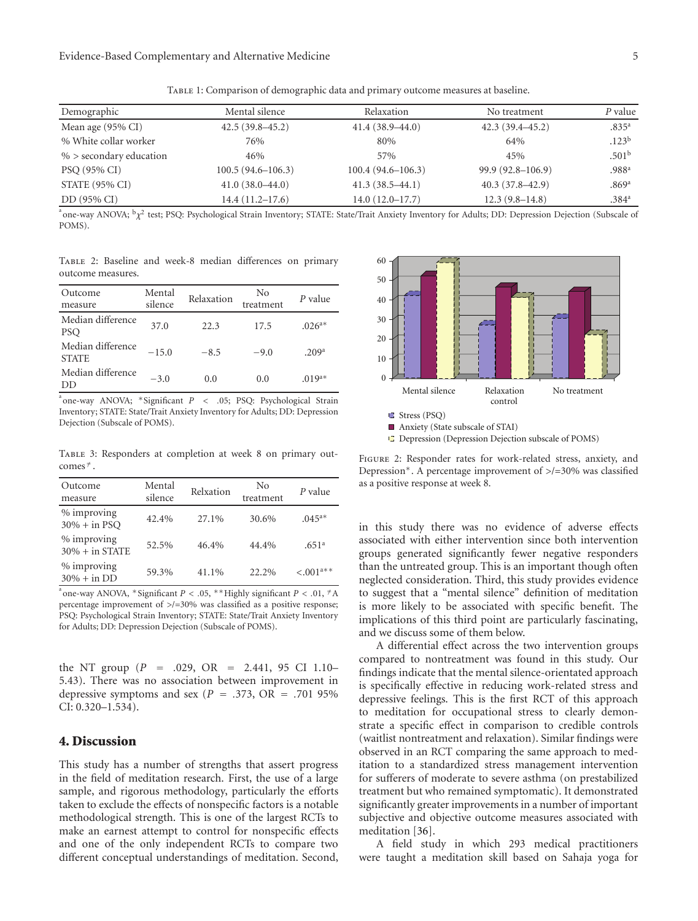TABLE 1: Comparison of demographic data and primary outcome measures at baseline.

| Demographic               | Mental silence        | Relaxation            | No treatment         | P value           |
|---------------------------|-----------------------|-----------------------|----------------------|-------------------|
| Mean age (95% CI)         | $42.5(39.8-45.2)$     | $41.4(38.9 - 44.0)$   | $42.3(39.4 - 45.2)$  | .835 <sup>a</sup> |
| % White collar worker     | 76%                   | 80%                   | 64%                  | .123 <sup>b</sup> |
| $% >$ secondary education | 46%                   | 57%                   | 45%                  | .501 <sup>b</sup> |
| PSQ (95% CI)              | $100.5(94.6 - 106.3)$ | $100.4(94.6 - 106.3)$ | $99.9(92.8 - 106.9)$ | .988 <sup>a</sup> |
| <b>STATE (95% CI)</b>     | $41.0(38.0 - 44.0)$   | $41.3(38.5 - 44.1)$   | $40.3(37.8-42.9)$    | .869a             |
| $DD(95\% CI)$             | $14.4(11.2-17.6)$     | $14.0(12.0-17.7)$     | $12.3(9.8-14.8)$     | .384 <sup>a</sup> |

a<br>
one-way ANOVA; <sup>b</sup>χ<sup>2</sup> test; PSQ: Psychological Strain Inventory; STATE: State/Trait Anxiety Inventory for Adults; DD: Depression Dejection (Subscale of POMS).

Table 2: Baseline and week-8 median differences on primary outcome measures.

| Outcome<br>measure                | Mental<br>silence | Relaxation | No<br>treatment | P value           |
|-----------------------------------|-------------------|------------|-----------------|-------------------|
| Median difference<br><b>PSO</b>   | 37.0              | 22.3       | 17.5            | $.026^{a*}$       |
| Median difference<br><b>STATE</b> | $-15.0$           | $-8.5$     | $-9.0$          | .209 <sup>a</sup> |
| Median difference<br>DD           | $-3.0$            | 0.0        | 0.0             | $.019a*$          |

<sup>a</sup> one-way ANOVA; \*Significant *P < .*05; PSQ: Psychological Strain Inventory; STATE: State/Trait Anxiety Inventory for Adults; DD: Depression Dejection (Subscale of POMS).

Table 3: Responders at completion at week 8 on primary outcomes *<sup>=</sup>/* .

| Outcome<br>measure               | Mental<br>silence | Relxation | No<br>treatment | P value                 |
|----------------------------------|-------------------|-----------|-----------------|-------------------------|
| % improving<br>$30\% + in PSO$   | 42.4%             | 27.1%     | 30.6%           | $.045^{a*}$             |
| % improving<br>$30\% + in STATE$ | 52.5%             | 46.4%     | 44.4%           | .651 <sup>a</sup>       |
| % improving<br>$30\% + in DD$    | 59.3%             | 41.1%     | 22.2%           | $< .001$ <sup>a**</sup> |

a one-way ANOVA, <sup>∗</sup>Significant *P<.*05, ∗∗Highly significant *P<.*01, *<sup>=</sup>/* A percentage improvement of *>*/=30% was classified as a positive response; PSQ: Psychological Strain Inventory; STATE: State/Trait Anxiety Inventory for Adults; DD: Depression Dejection (Subscale of POMS).

the NT group (*P = .*029, OR *=* 2*.*441, 95 CI 1.10– 5.43). There was no association between improvement in depressive symptoms and sex ( $P = .373$ , OR = .701 95%) CI: 0.320–1.534).

#### 4. Discussion

This study has a number of strengths that assert progress in the field of meditation research. First, the use of a large sample, and rigorous methodology, particularly the efforts taken to exclude the effects of nonspecific factors is a notable methodological strength. This is one of the largest RCTs to make an earnest attempt to control for nonspecific effects and one of the only independent RCTs to compare two different conceptual understandings of meditation. Second,



Figure 2: Responder rates for work-related stress, anxiety, and Depression∗. A percentage improvement of *>*/=30% was classified as a positive response at week 8.

in this study there was no evidence of adverse effects associated with either intervention since both intervention groups generated significantly fewer negative responders than the untreated group. This is an important though often neglected consideration. Third, this study provides evidence to suggest that a "mental silence" definition of meditation is more likely to be associated with specific benefit. The implications of this third point are particularly fascinating, and we discuss some of them below.

A differential effect across the two intervention groups compared to nontreatment was found in this study. Our findings indicate that the mental silence-orientated approach is specifically effective in reducing work-related stress and depressive feelings. This is the first RCT of this approach to meditation for occupational stress to clearly demonstrate a specific effect in comparison to credible controls (waitlist nontreatment and relaxation). Similar findings were observed in an RCT comparing the same approach to meditation to a standardized stress management intervention for sufferers of moderate to severe asthma (on prestabilized treatment but who remained symptomatic). It demonstrated significantly greater improvements in a number of important subjective and objective outcome measures associated with meditation [36].

A field study in which 293 medical practitioners were taught a meditation skill based on Sahaja yoga for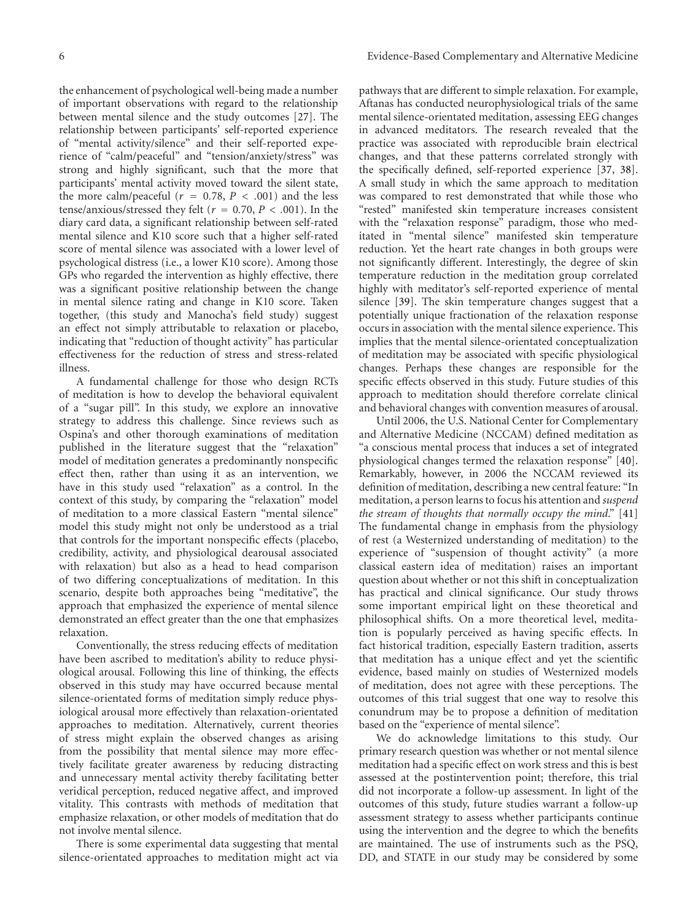the enhancement of psychological well-being made a number of important observations with regard to the relationship between mental silence and the study outcomes [27]. The relationship between participants' self-reported experience of "mental activity/silence" and their self-reported experience of "calm/peaceful" and "tension/anxiety/stress" was strong and highly significant, such that the more that participants' mental activity moved toward the silent state, the more calm/peaceful ( $r = 0.78$ ,  $P < .001$ ) and the less tense/anxious/stressed they felt ( $r = 0.70, P < .001$ ). In the diary card data, a significant relationship between self-rated mental silence and K10 score such that a higher self-rated score of mental silence was associated with a lower level of psychological distress (i.e., a lower K10 score). Among those GPs who regarded the intervention as highly effective, there was a significant positive relationship between the change in mental silence rating and change in K10 score. Taken together, (this study and Manocha's field study) suggest an effect not simply attributable to relaxation or placebo, indicating that "reduction of thought activity" has particular effectiveness for the reduction of stress and stress-related illness.

A fundamental challenge for those who design RCTs of meditation is how to develop the behavioral equivalent of a "sugar pill". In this study, we explore an innovative strategy to address this challenge. Since reviews such as Ospina's and other thorough examinations of meditation published in the literature suggest that the "relaxation" model of meditation generates a predominantly nonspecific effect then, rather than using it as an intervention, we have in this study used "relaxation" as a control. In the context of this study, by comparing the "relaxation" model of meditation to a more classical Eastern "mental silence" model this study might not only be understood as a trial that controls for the important nonspecific effects (placebo, credibility, activity, and physiological dearousal associated with relaxation) but also as a head to head comparison of two differing conceptualizations of meditation. In this scenario, despite both approaches being "meditative", the approach that emphasized the experience of mental silence demonstrated an effect greater than the one that emphasizes relaxation.

Conventionally, the stress reducing effects of meditation have been ascribed to meditation's ability to reduce physiological arousal. Following this line of thinking, the effects observed in this study may have occurred because mental silence-orientated forms of meditation simply reduce physiological arousal more effectively than relaxation-orientated approaches to meditation. Alternatively, current theories of stress might explain the observed changes as arising from the possibility that mental silence may more effectively facilitate greater awareness by reducing distracting and unnecessary mental activity thereby facilitating better veridical perception, reduced negative affect, and improved vitality. This contrasts with methods of meditation that emphasize relaxation, or other models of meditation that do not involve mental silence.

There is some experimental data suggesting that mental silence-orientated approaches to meditation might act via

pathways that are different to simple relaxation. For example, Aftanas has conducted neurophysiological trials of the same mental silence-orientated meditation, assessing EEG changes in advanced meditators. The research revealed that the practice was associated with reproducible brain electrical changes, and that these patterns correlated strongly with the specifically defined, self-reported experience [37, 38]. A small study in which the same approach to meditation was compared to rest demonstrated that while those who "rested" manifested skin temperature increases consistent with the "relaxation response" paradigm, those who meditated in "mental silence" manifested skin temperature reduction. Yet the heart rate changes in both groups were not significantly different. Interestingly, the degree of skin temperature reduction in the meditation group correlated highly with meditator's self-reported experience of mental silence [39]. The skin temperature changes suggest that a potentially unique fractionation of the relaxation response occurs in association with the mental silence experience. This implies that the mental silence-orientated conceptualization of meditation may be associated with specific physiological changes. Perhaps these changes are responsible for the specific effects observed in this study. Future studies of this approach to meditation should therefore correlate clinical and behavioral changes with convention measures of arousal.

Until 2006, the U.S. National Center for Complementary and Alternative Medicine (NCCAM) defined meditation as "a conscious mental process that induces a set of integrated physiological changes termed the relaxation response" [40]. Remarkably, however, in 2006 the NCCAM reviewed its definition of meditation, describing a new central feature: "In meditation, a person learns to focus his attention and *suspend the stream of thoughts that normally occupy the mind*." [41] The fundamental change in emphasis from the physiology of rest (a Westernized understanding of meditation) to the experience of "suspension of thought activity" (a more classical eastern idea of meditation) raises an important question about whether or not this shift in conceptualization has practical and clinical significance. Our study throws some important empirical light on these theoretical and philosophical shifts. On a more theoretical level, meditation is popularly perceived as having specific effects. In fact historical tradition, especially Eastern tradition, asserts that meditation has a unique effect and yet the scientific evidence, based mainly on studies of Westernized models of meditation, does not agree with these perceptions. The outcomes of this trial suggest that one way to resolve this conundrum may be to propose a definition of meditation based on the "experience of mental silence".

We do acknowledge limitations to this study. Our primary research question was whether or not mental silence meditation had a specific effect on work stress and this is best assessed at the postintervention point; therefore, this trial did not incorporate a follow-up assessment. In light of the outcomes of this study, future studies warrant a follow-up assessment strategy to assess whether participants continue using the intervention and the degree to which the benefits are maintained. The use of instruments such as the PSQ, DD, and STATE in our study may be considered by some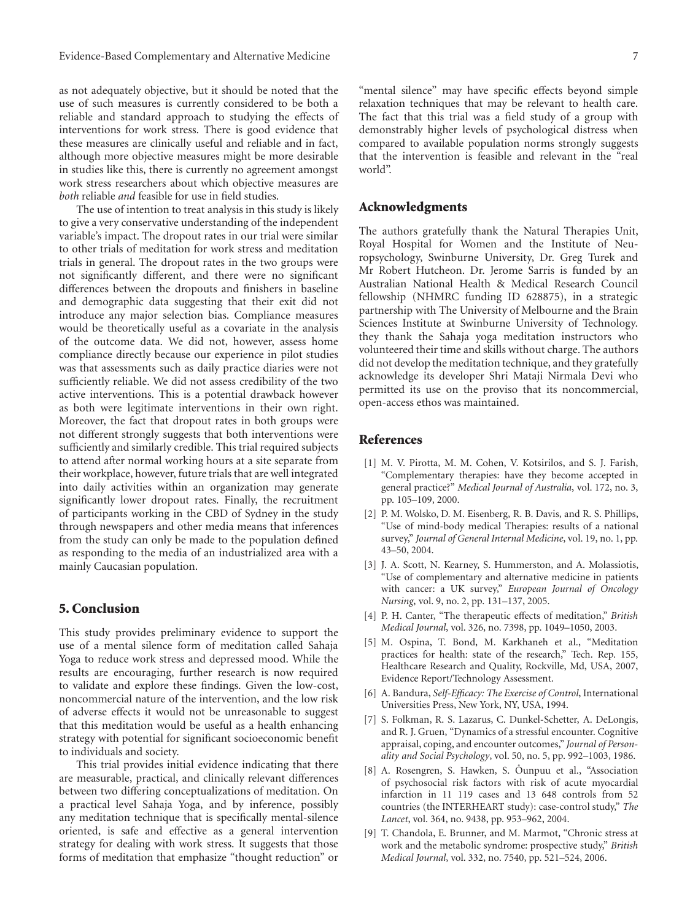as not adequately objective, but it should be noted that the use of such measures is currently considered to be both a reliable and standard approach to studying the effects of interventions for work stress. There is good evidence that these measures are clinically useful and reliable and in fact, although more objective measures might be more desirable in studies like this, there is currently no agreement amongst work stress researchers about which objective measures are *both* reliable *and* feasible for use in field studies.

The use of intention to treat analysis in this study is likely to give a very conservative understanding of the independent variable's impact. The dropout rates in our trial were similar to other trials of meditation for work stress and meditation trials in general. The dropout rates in the two groups were not significantly different, and there were no significant differences between the dropouts and finishers in baseline and demographic data suggesting that their exit did not introduce any major selection bias. Compliance measures would be theoretically useful as a covariate in the analysis of the outcome data. We did not, however, assess home compliance directly because our experience in pilot studies was that assessments such as daily practice diaries were not sufficiently reliable. We did not assess credibility of the two active interventions. This is a potential drawback however as both were legitimate interventions in their own right. Moreover, the fact that dropout rates in both groups were not different strongly suggests that both interventions were sufficiently and similarly credible. This trial required subjects to attend after normal working hours at a site separate from their workplace, however, future trials that are well integrated into daily activities within an organization may generate significantly lower dropout rates. Finally, the recruitment of participants working in the CBD of Sydney in the study through newspapers and other media means that inferences from the study can only be made to the population defined as responding to the media of an industrialized area with a mainly Caucasian population.

#### 5. Conclusion

This study provides preliminary evidence to support the use of a mental silence form of meditation called Sahaja Yoga to reduce work stress and depressed mood. While the results are encouraging, further research is now required to validate and explore these findings. Given the low-cost, noncommercial nature of the intervention, and the low risk of adverse effects it would not be unreasonable to suggest that this meditation would be useful as a health enhancing strategy with potential for significant socioeconomic benefit to individuals and society.

This trial provides initial evidence indicating that there are measurable, practical, and clinically relevant differences between two differing conceptualizations of meditation. On a practical level Sahaja Yoga, and by inference, possibly any meditation technique that is specifically mental-silence oriented, is safe and effective as a general intervention strategy for dealing with work stress. It suggests that those forms of meditation that emphasize "thought reduction" or

"mental silence" may have specific effects beyond simple relaxation techniques that may be relevant to health care. The fact that this trial was a field study of a group with demonstrably higher levels of psychological distress when compared to available population norms strongly suggests that the intervention is feasible and relevant in the "real world".

#### Acknowledgments

The authors gratefully thank the Natural Therapies Unit, Royal Hospital for Women and the Institute of Neuropsychology, Swinburne University, Dr. Greg Turek and Mr Robert Hutcheon. Dr. Jerome Sarris is funded by an Australian National Health & Medical Research Council fellowship (NHMRC funding ID 628875), in a strategic partnership with The University of Melbourne and the Brain Sciences Institute at Swinburne University of Technology. they thank the Sahaja yoga meditation instructors who volunteered their time and skills without charge. The authors did not develop the meditation technique, and they gratefully acknowledge its developer Shri Mataji Nirmala Devi who permitted its use on the proviso that its noncommercial, open-access ethos was maintained.

#### References

- [1] M. V. Pirotta, M. M. Cohen, V. Kotsirilos, and S. J. Farish, "Complementary therapies: have they become accepted in general practice?" *Medical Journal of Australia*, vol. 172, no. 3, pp. 105–109, 2000.
- [2] P. M. Wolsko, D. M. Eisenberg, R. B. Davis, and R. S. Phillips, "Use of mind-body medical Therapies: results of a national survey," *Journal of General Internal Medicine*, vol. 19, no. 1, pp. 43–50, 2004.
- [3] J. A. Scott, N. Kearney, S. Hummerston, and A. Molassiotis, "Use of complementary and alternative medicine in patients with cancer: a UK survey," *European Journal of Oncology Nursing*, vol. 9, no. 2, pp. 131–137, 2005.
- [4] P. H. Canter, "The therapeutic effects of meditation," *British Medical Journal*, vol. 326, no. 7398, pp. 1049–1050, 2003.
- [5] M. Ospina, T. Bond, M. Karkhaneh et al., "Meditation practices for health: state of the research," Tech. Rep. 155, Healthcare Research and Quality, Rockville, Md, USA, 2007, Evidence Report/Technology Assessment.
- [6] A. Bandura, *Self-Efficacy: The Exercise of Control*, International Universities Press, New York, NY, USA, 1994.
- [7] S. Folkman, R. S. Lazarus, C. Dunkel-Schetter, A. DeLongis, and R. J. Gruen, "Dynamics of a stressful encounter. Cognitive appraisal, coping, and encounter outcomes," *Journal of Personality and Social Psychology*, vol. 50, no. 5, pp. 992–1003, 1986.
- [8] A. Rosengren, S. Hawken, S. Ôunpuu et al., "Association of psychosocial risk factors with risk of acute myocardial infarction in 11 119 cases and 13 648 controls from 52 countries (the INTERHEART study): case-control study," *The Lancet*, vol. 364, no. 9438, pp. 953–962, 2004.
- [9] T. Chandola, E. Brunner, and M. Marmot, "Chronic stress at work and the metabolic syndrome: prospective study," *British Medical Journal*, vol. 332, no. 7540, pp. 521–524, 2006.